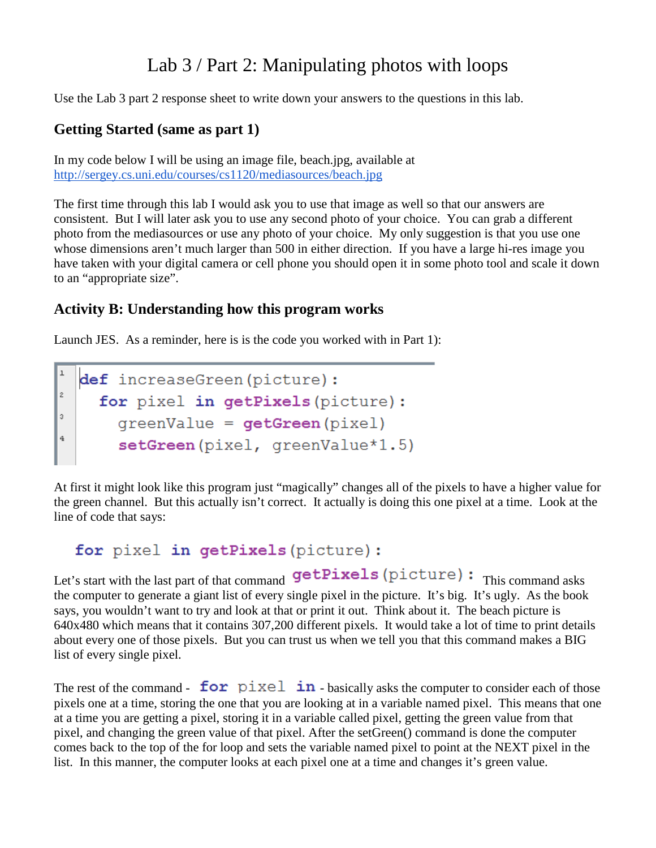## Lab 3 / Part 2: Manipulating photos with loops

Use the Lab 3 part 2 response sheet to write down your answers to the questions in this lab.

## **Getting Started (same as part 1)**

In my code below I will be using an image file, beach.jpg, available at <http://sergey.cs.uni.edu/courses/cs1120/mediasources/beach.jpg>

The first time through this lab I would ask you to use that image as well so that our answers are consistent. But I will later ask you to use any second photo of your choice. You can grab a different photo from the mediasources or use any photo of your choice. My only suggestion is that you use one whose dimensions aren't much larger than 500 in either direction. If you have a large hi-res image you have taken with your digital camera or cell phone you should open it in some photo tool and scale it down to an "appropriate size".

## **Activity B: Understanding how this program works**

Launch JES. As a reminder, here is is the code you worked with in Part 1):



At first it might look like this program just "magically" changes all of the pixels to have a higher value for the green channel. But this actually isn't correct. It actually is doing this one pixel at a time. Look at the line of code that says:

for pixel in getPixels (picture) :

Let's start with the last part of that command getPixels (picture): This command asks the computer to generate a giant list of every single pixel in the picture. It's big. It's ugly. As the book says, you wouldn't want to try and look at that or print it out. Think about it. The beach picture is 640x480 which means that it contains 307,200 different pixels. It would take a lot of time to print details about every one of those pixels. But you can trust us when we tell you that this command makes a BIG list of every single pixel.

The rest of the command  ${\bf for}$   $\vec{p}$  ixel  ${\bf in}$  - basically asks the computer to consider each of those pixels one at a time, storing the one that you are looking at in a variable named pixel. This means that one at a time you are getting a pixel, storing it in a variable called pixel, getting the green value from that pixel, and changing the green value of that pixel. After the setGreen() command is done the computer comes back to the top of the for loop and sets the variable named pixel to point at the NEXT pixel in the list. In this manner, the computer looks at each pixel one at a time and changes it's green value.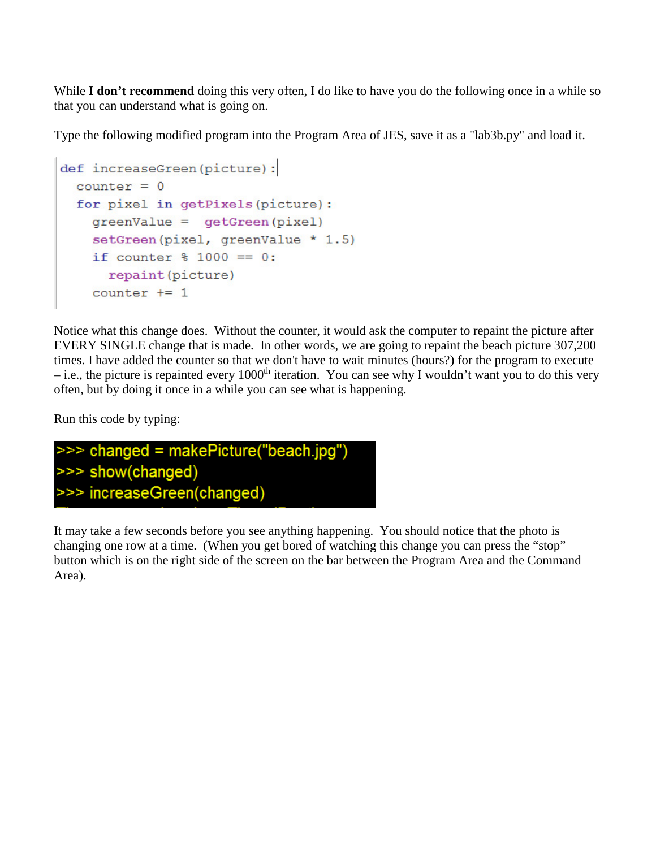While **I don't recommend** doing this very often, I do like to have you do the following once in a while so that you can understand what is going on.

Type the following modified program into the Program Area of JES, save it as a "lab3b.py" and load it.

```
def increaseGreen(picture):
 counter = 0for pixel in getPixels (picture) :
    greenValue = qetGreen(pixel)setGreen(pixel, greenValue * 1.5)
    if counter % 1000 == 0:
      repaint (picture)
    counter += 1
```
Notice what this change does. Without the counter, it would ask the computer to repaint the picture after EVERY SINGLE change that is made. In other words, we are going to repaint the beach picture 307,200 times. I have added the counter so that we don't have to wait minutes (hours?) for the program to execute – i.e., the picture is repainted every 1000<sup>th</sup> iteration. You can see why I wouldn't want you to do this very often, but by doing it once in a while you can see what is happening.

Run this code by typing:



It may take a few seconds before you see anything happening. You should notice that the photo is changing one row at a time. (When you get bored of watching this change you can press the "stop" button which is on the right side of the screen on the bar between the Program Area and the Command Area).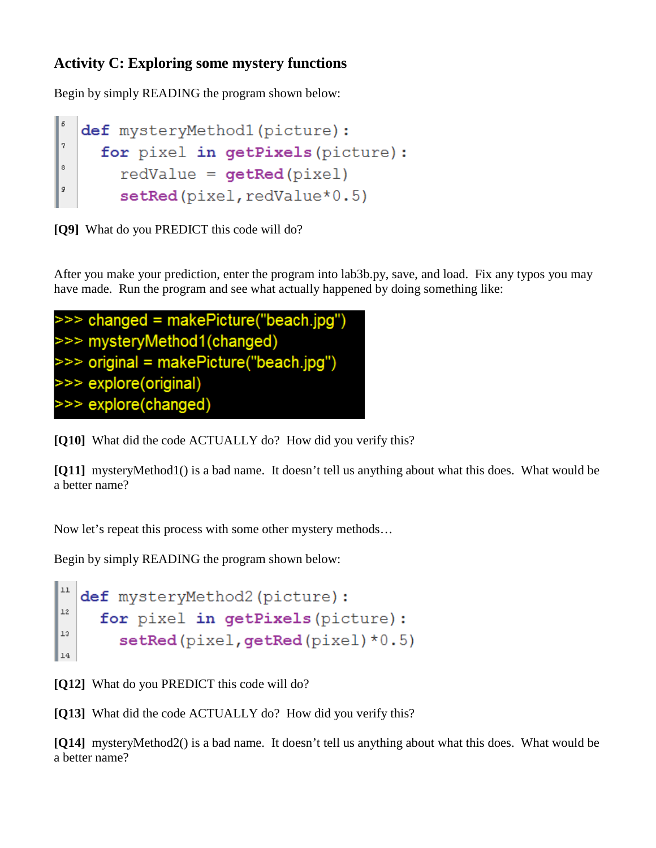## **Activity C: Exploring some mystery functions**

Begin by simply READING the program shown below:

```
def mysteryMethod1(picture):
\overline{7}for pixel in getPixels (picture) :
\circredValue = getRed(pixel)g
       setRed(pixel, redValue*0.5)
```
**[Q9]** What do you PREDICT this code will do?

After you make your prediction, enter the program into lab3b.py, save, and load. Fix any typos you may have made. Run the program and see what actually happened by doing something like:

```
>>> changed = makePicture("beach.jpg")
>>> mysteryMethod1(changed)
>>> original = makePicture("beach.jpg")
>>> explore(original)
>>> explore(changed)
```
**[Q10]** What did the code ACTUALLY do? How did you verify this?

**[Q11]** mysteryMethod1() is a bad name. It doesn't tell us anything about what this does. What would be a better name?

Now let's repeat this process with some other mystery methods…

Begin by simply READING the program shown below:

```
\mathtt{l}\mathtt{l}def mysteryMethod2(picture):
12\,for pixel in getPixels (picture) :
13\,setRed(pixel, getRed(pixel)*0.5)
14
```
**[Q12]** What do you PREDICT this code will do?

**[Q13]** What did the code ACTUALLY do? How did you verify this?

**[Q14]** mysteryMethod2() is a bad name. It doesn't tell us anything about what this does. What would be a better name?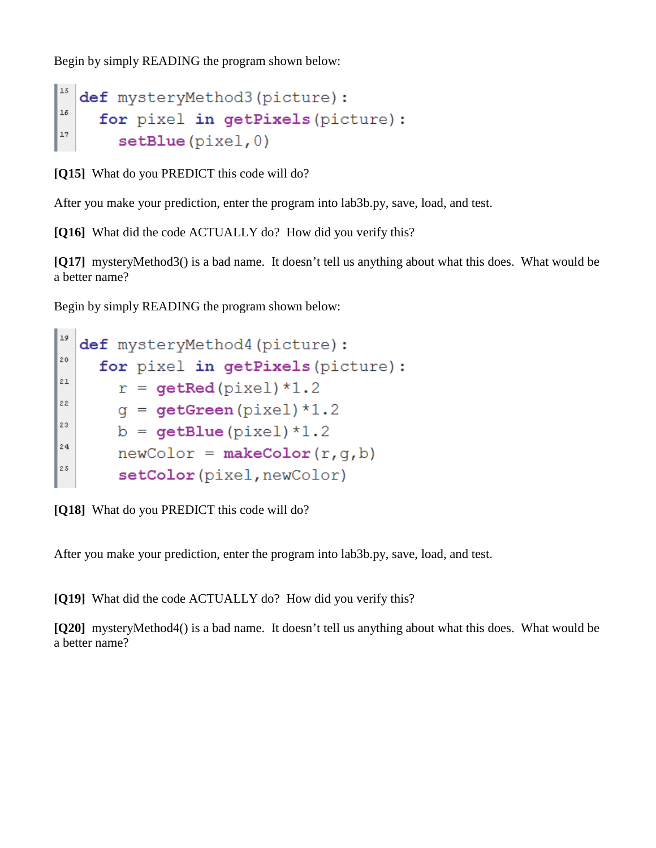Begin by simply READING the program shown below:

```
1.5\,def mysteryMethod3(picture):
1\deltafor pixel in getPixels (picture) :
^{\tt l7}setBlue(pixel, 0)
```
**[Q15]** What do you PREDICT this code will do?

After you make your prediction, enter the program into lab3b.py, save, load, and test.

**[Q16]** What did the code ACTUALLY do? How did you verify this?

**[Q17]** mysteryMethod3() is a bad name. It doesn't tell us anything about what this does. What would be a better name?

Begin by simply READING the program shown below:

```
19def mysteryMethod4(picture):
20for pixel in getPixels (picture) :
2\,\mathsf{1}r = qetRed(pixel)*1.2
22q = getGreen(pixel)*1.223
      b = getBlue(pixel)*1.224newColor = makeColor(r, q, b)2.5\,setColor(pixel, newColor)
```
**[Q18]** What do you PREDICT this code will do?

After you make your prediction, enter the program into lab3b.py, save, load, and test.

**[Q19]** What did the code ACTUALLY do? How did you verify this?

**[Q20]** mysteryMethod4() is a bad name. It doesn't tell us anything about what this does. What would be a better name?